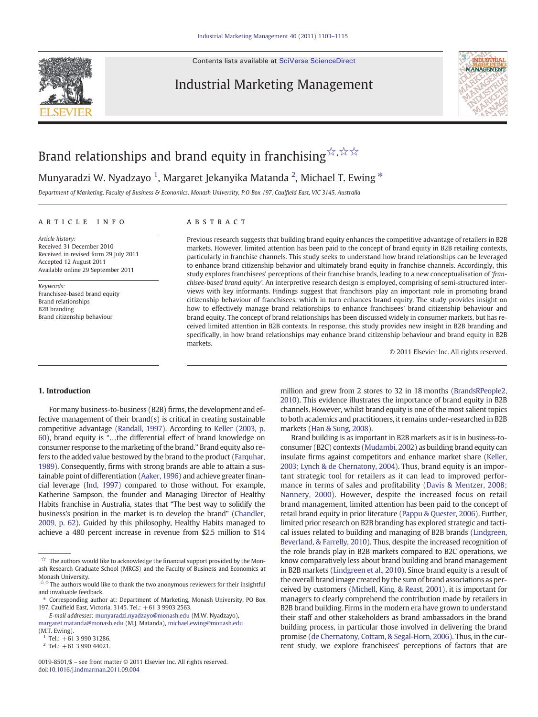Contents lists available at [SciVerse ScienceDirect](http://www.sciencedirect.com/science/journal/00198501)

## Industrial Marketing Management



# Brand relationships and brand equity in franchising  $\stackrel{\leftrightarrow}{\rtimes}$  , $\stackrel{\leftrightarrow}{\rtimes}$

## Munyaradzi W. Nyadzayo <sup>1</sup>, Margaret Jekanyika Matanda <sup>2</sup>, Michael T. Ewing  $^\ast$

Department of Marketing, Faculty of Business & Economics, Monash University, P.O Box 197, Caulfield East, VIC 3145, Australia

#### article info abstract

Article history: Received 31 December 2010 Received in revised form 29 July 2011 Accepted 12 August 2011 Available online 29 September 2011

Keywords: Franchisee-based brand equity Brand relationships B2B branding Brand citizenship behaviour

Previous research suggests that building brand equity enhances the competitive advantage of retailers in B2B markets. However, limited attention has been paid to the concept of brand equity in B2B retailing contexts, particularly in franchise channels. This study seeks to understand how brand relationships can be leveraged to enhance brand citizenship behavior and ultimately brand equity in franchise channels. Accordingly, this study explores franchisees' perceptions of their franchise brands, leading to a new conceptualisation of 'franchisee-based brand equity'. An interpretive research design is employed, comprising of semi-structured interviews with key informants. Findings suggest that franchisors play an important role in promoting brand citizenship behaviour of franchisees, which in turn enhances brand equity. The study provides insight on how to effectively manage brand relationships to enhance franchisees' brand citizenship behaviour and brand equity. The concept of brand relationships has been discussed widely in consumer markets, but has received limited attention in B2B contexts. In response, this study provides new insight in B2B branding and specifically, in how brand relationships may enhance brand citizenship behaviour and brand equity in B2B markets.

© 2011 Elsevier Inc. All rights reserved.

### 1. Introduction

For many business-to-business (B2B) firms, the development and effective management of their brand(s) is critical in creating sustainable competitive advantage ([Randall, 1997\)](#page--1-0). According to [Keller \(2003, p.](#page--1-0) [60\),](#page--1-0) brand equity is "…the differential effect of brand knowledge on consumer response to the marketing of the brand." Brand equity also refers to the added value bestowed by the brand to the product [\(Farquhar,](#page--1-0) [1989](#page--1-0)). Consequently, firms with strong brands are able to attain a sustainable point of differentiation [\(Aaker, 1996\)](#page--1-0) and achieve greater financial leverage ([Ind, 1997\)](#page--1-0) compared to those without. For example, Katherine Sampson, the founder and Managing Director of Healthy Habits franchise in Australia, states that "The best way to solidify the business's position in the market is to develop the brand" [\(Chandler,](#page--1-0) [2009, p. 62\)](#page--1-0). Guided by this philosophy, Healthy Habits managed to achieve a 480 percent increase in revenue from \$2.5 million to \$14

million and grew from 2 stores to 32 in 18 months ([BrandsRPeople2,](#page--1-0) [2010](#page--1-0)). This evidence illustrates the importance of brand equity in B2B channels. However, whilst brand equity is one of the most salient topics to both academics and practitioners, it remains under-researched in B2B markets ([Han & Sung, 2008\)](#page--1-0).

Brand building is as important in B2B markets as it is in business-toconsumer (B2C) contexts ([Mudambi, 2002\)](#page--1-0) as building brand equity can insulate firms against competitors and enhance market share [\(Keller,](#page--1-0) [2003; Lynch & de Chernatony, 2004](#page--1-0)). Thus, brand equity is an important strategic tool for retailers as it can lead to improved performance in terms of sales and profitability [\(Davis & Mentzer, 2008;](#page--1-0) [Nannery, 2000](#page--1-0)). However, despite the increased focus on retail brand management, limited attention has been paid to the concept of retail brand equity in prior literature [\(Pappu & Quester, 2006](#page--1-0)). Further, limited prior research on B2B branding has explored strategic and tactical issues related to building and managing of B2B brands [\(Lindgreen,](#page--1-0) [Beverland, & Farrelly, 2010](#page--1-0)). Thus, despite the increased recognition of the role brands play in B2B markets compared to B2C operations, we know comparatively less about brand building and brand management in B2B markets [\(Lindgreen et al., 2010\)](#page--1-0). Since brand equity is a result of the overall brand image created by the sum of brand associations as perceived by customers ([Michell, King, & Reast, 2001\)](#page--1-0), it is important for managers to clearly comprehend the contribution made by retailers in B2B brand building. Firms in the modern era have grown to understand their staff and other stakeholders as brand ambassadors in the brand building process, in particular those involved in delivering the brand promise ([de Chernatony, Cottam, & Segal-Horn, 2006](#page--1-0)). Thus, in the current study, we explore franchisees' perceptions of factors that are

 $\overrightarrow{r}$  The authors would like to acknowledge the financial support provided by the Monash Research Graduate School (MRGS) and the Faculty of Business and Economics at Monash University.

<sup>☆☆</sup>The authors would like to thank the two anonymous reviewers for their insightful and invaluable feedback.

<sup>⁎</sup> Corresponding author at: Department of Marketing, Monash University, PO Box 197, Caulfield East, Victoria, 3145. Tel.: +61 3 9903 2563.

E-mail addresses: [munyaradzi.nyadzayo@monash.edu](mailto:munyaradzi.nyadzayo@monash.edu) (M.W. Nyadzayo), [margaret.matanda@monash.edu](mailto:margaret.matanda@monash.edu) (M.J. Matanda), [michael.ewing@monash.edu](mailto:michael.ewing@monash.edu) (M.T. Ewing).

 $1$  Tel.: +61 3 990 31286.

 $2$  Tel.: +61 3 990 44021.

<sup>0019-8501/\$</sup> – see front matter © 2011 Elsevier Inc. All rights reserved. doi:[10.1016/j.indmarman.2011.09.004](http://dx.doi.org/10.1016/j.indmarman.2011.09.004)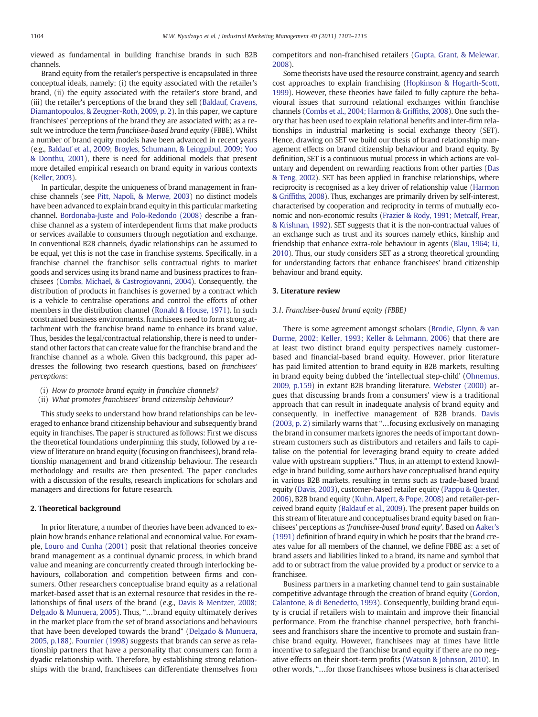viewed as fundamental in building franchise brands in such B2B channels.

Brand equity from the retailer's perspective is encapsulated in three conceptual ideals, namely; (i) the equity associated with the retailer's brand, (ii) the equity associated with the retailer's store brand, and (iii) the retailer's perceptions of the brand they sell [\(Baldauf, Cravens,](#page--1-0) [Diamantopoulos, & Zeugner-Roth, 2009, p. 2](#page--1-0)). In this paper, we capture franchisees' perceptions of the brand they are associated with; as a result we introduce the term franchisee-based brand equity (FBBE). Whilst a number of brand equity models have been advanced in recent years (e.g., [Baldauf et al., 2009; Broyles, Schumann, & Leingpibul, 2009; Yoo](#page--1-0) [& Donthu, 2001](#page--1-0)), there is need for additional models that present more detailed empirical research on brand equity in various contexts [\(Keller, 2003\)](#page--1-0).

In particular, despite the uniqueness of brand management in franchise channels (see [Pitt, Napoli, & Merwe, 2003](#page--1-0)) no distinct models have been advanced to explain brand equity in this particular marketing channel. [Bordonaba-Juste and Polo-Redondo \(2008\)](#page--1-0) describe a franchise channel as a system of interdependent firms that make products or services available to consumers through negotiation and exchange. In conventional B2B channels, dyadic relationships can be assumed to be equal, yet this is not the case in franchise systems. Specifically, in a franchise channel the franchisor sells contractual rights to market goods and services using its brand name and business practices to franchisees ([Combs, Michael, & Castrogiovanni, 2004\)](#page--1-0). Consequently, the distribution of products in franchises is governed by a contract which is a vehicle to centralise operations and control the efforts of other members in the distribution channel ([Ronald & House, 1971](#page--1-0)). In such constrained business environments, franchisees need to form strong attachment with the franchise brand name to enhance its brand value. Thus, besides the legal/contractual relationship, there is need to understand other factors that can create value for the franchise brand and the franchise channel as a whole. Given this background, this paper addresses the following two research questions, based on franchisees' perceptions:

- (i) How to promote brand equity in franchise channels?
- (ii) What promotes franchisees' brand citizenship behaviour?

This study seeks to understand how brand relationships can be leveraged to enhance brand citizenship behaviour and subsequently brand equity in franchises. The paper is structured as follows: First we discuss the theoretical foundations underpinning this study, followed by a review of literature on brand equity (focusing on franchisees), brand relationship management and brand citizenship behaviour. The research methodology and results are then presented. The paper concludes with a discussion of the results, research implications for scholars and managers and directions for future research.

### 2. Theoretical background

In prior literature, a number of theories have been advanced to explain how brands enhance relational and economical value. For example, [Louro and Cunha \(2001\)](#page--1-0) posit that relational theories conceive brand management as a continual dynamic process, in which brand value and meaning are concurrently created through interlocking behaviours, collaboration and competition between firms and consumers. Other researchers conceptualise brand equity as a relational market-based asset that is an external resource that resides in the relationships of final users of the brand (e.g., [Davis & Mentzer, 2008;](#page--1-0) [Delgado & Munuera, 2005](#page--1-0)). Thus, "…brand equity ultimately derives in the market place from the set of brand associations and behaviours that have been developed towards the brand" [\(Delgado & Munuera,](#page--1-0) [2005, p.188](#page--1-0)). [Fournier \(1998\)](#page--1-0) suggests that brands can serve as relationship partners that have a personality that consumers can form a dyadic relationship with. Therefore, by establishing strong relationships with the brand, franchisees can differentiate themselves from competitors and non-franchised retailers ([Gupta, Grant, & Melewar](#page--1-0), [2008\)](#page--1-0).

Some theorists have used the resource constraint, agency and search cost approaches to explain franchising [\(Hopkinson & Hogarth-Scott,](#page--1-0) [1999\)](#page--1-0). However, these theories have failed to fully capture the behavioural issues that surround relational exchanges within franchise channels ([Combs et al., 2004; Harmon & Grif](#page--1-0)fiths, 2008). One such theory that has been used to explain relational benefits and inter-firm relationships in industrial marketing is social exchange theory (SET). Hence, drawing on SET we build our thesis of brand relationship management effects on brand citizenship behaviour and brand equity. By definition, SET is a continuous mutual process in which actions are voluntary and dependent on rewarding reactions from other parties ([Das](#page--1-0) [& Teng, 2002](#page--1-0)). SET has been applied in franchise relationships, where reciprocity is recognised as a key driver of relationship value ([Harmon](#page--1-0) & Griffi[ths, 2008](#page--1-0)). Thus, exchanges are primarily driven by self-interest, characterised by cooperation and reciprocity in terms of mutually economic and non-economic results [\(Frazier & Rody, 1991; Metcalf, Frear,](#page--1-0) [& Krishnan, 1992\)](#page--1-0). SET suggests that it is the non-contractual values of an exchange such as trust and its sources namely ethics, kinship and friendship that enhance extra-role behaviour in agents ([Blau, 1964; Li,](#page--1-0) [2010](#page--1-0)). Thus, our study considers SET as a strong theoretical grounding for understanding factors that enhance franchisees' brand citizenship behaviour and brand equity.

#### 3. Literature review

#### 3.1. Franchisee-based brand equity (FBBE)

There is some agreement amongst scholars ([Brodie, Glynn, & van](#page--1-0) [Durme, 2002; Keller, 1993; Keller & Lehmann, 2006\)](#page--1-0) that there are at least two distinct brand equity perspectives namely customerbased and financial-based brand equity. However, prior literature has paid limited attention to brand equity in B2B markets, resulting in brand equity being dubbed the 'intellectual step-child' [\(Ohnemus,](#page--1-0) [2009, p.159](#page--1-0)) in extant B2B branding literature. [Webster \(2000\)](#page--1-0) argues that discussing brands from a consumers' view is a traditional approach that can result in inadequate analysis of brand equity and consequently, in ineffective management of B2B brands. [Davis](#page--1-0) [\(2003, p. 2\)](#page--1-0) similarly warns that "…focusing exclusively on managing the brand in consumer markets ignores the needs of important downstream customers such as distributors and retailers and fails to capitalise on the potential for leveraging brand equity to create added value with upstream suppliers." Thus, in an attempt to extend knowledge in brand building, some authors have conceptualised brand equity in various B2B markets, resulting in terms such as trade-based brand equity ([Davis, 2003](#page--1-0)), customer-based retailer equity ([Pappu & Quester,](#page--1-0) [2006\)](#page--1-0), B2B brand equity [\(Kuhn, Alpert, & Pope, 2008](#page--1-0)) and retailer-perceived brand equity [\(Baldauf et al., 2009\)](#page--1-0). The present paper builds on this stream of literature and conceptualises brand equity based on franchisees' perceptions as 'franchisee-based brand equity'. Based on [Aaker's](#page--1-0) [\(1991\)](#page--1-0) definition of brand equity in which he posits that the brand creates value for all members of the channel, we define FBBE as: a set of brand assets and liabilities linked to a brand, its name and symbol that add to or subtract from the value provided by a product or service to a franchisee.

Business partners in a marketing channel tend to gain sustainable competitive advantage through the creation of brand equity ([Gordon,](#page--1-0) [Calantone, & di Benedetto, 1993](#page--1-0)). Consequently, building brand equity is crucial if retailers wish to maintain and improve their financial performance. From the franchise channel perspective, both franchisees and franchisors share the incentive to promote and sustain franchise brand equity. However, franchisees may at times have little incentive to safeguard the franchise brand equity if there are no negative effects on their short-term profits [\(Watson & Johnson, 2010](#page--1-0)). In other words, "…for those franchisees whose business is characterised